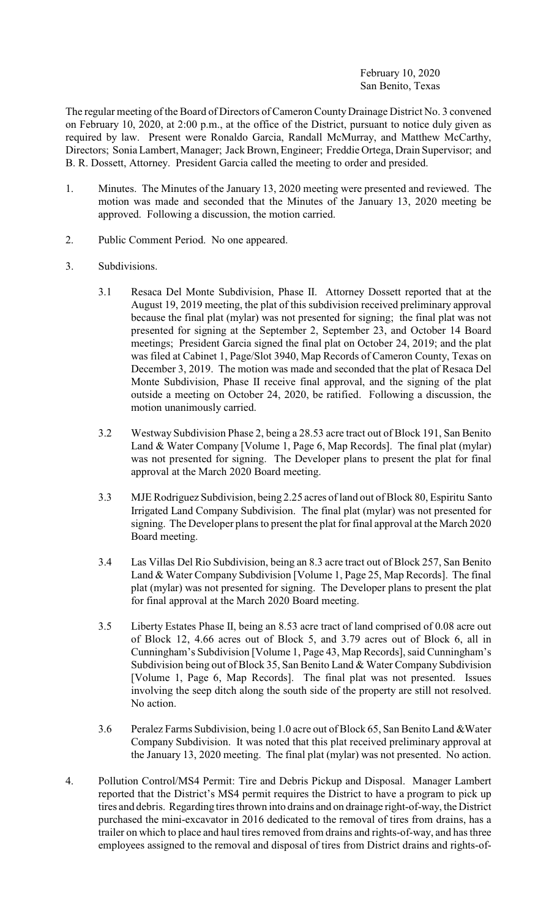## February 10, 2020 San Benito, Texas

The regular meeting of the Board of Directors of Cameron County Drainage District No. 3 convened on February 10, 2020, at 2:00 p.m., at the office of the District, pursuant to notice duly given as required by law. Present were Ronaldo Garcia, Randall McMurray, and Matthew McCarthy, Directors; Sonia Lambert, Manager; Jack Brown, Engineer; Freddie Ortega, Drain Supervisor; and B. R. Dossett, Attorney. President Garcia called the meeting to order and presided.

- 1. Minutes. The Minutes of the January 13, 2020 meeting were presented and reviewed. The motion was made and seconded that the Minutes of the January 13, 2020 meeting be approved. Following a discussion, the motion carried.
- 2. Public Comment Period. No one appeared.
- 3. Subdivisions.
	- 3.1 Resaca Del Monte Subdivision, Phase II. Attorney Dossett reported that at the August 19, 2019 meeting, the plat of this subdivision received preliminary approval because the final plat (mylar) was not presented for signing; the final plat was not presented for signing at the September 2, September 23, and October 14 Board meetings; President Garcia signed the final plat on October 24, 2019; and the plat was filed at Cabinet 1, Page/Slot 3940, Map Records of Cameron County, Texas on December 3, 2019. The motion was made and seconded that the plat of Resaca Del Monte Subdivision, Phase II receive final approval, and the signing of the plat outside a meeting on October 24, 2020, be ratified. Following a discussion, the motion unanimously carried.
	- 3.2 Westway Subdivision Phase 2, being a 28.53 acre tract out of Block 191, San Benito Land & Water Company [Volume 1, Page 6, Map Records]. The final plat (mylar) was not presented for signing. The Developer plans to present the plat for final approval at the March 2020 Board meeting.
	- 3.3 MJE Rodriguez Subdivision, being 2.25 acres of land out of Block 80, Espiritu Santo Irrigated Land Company Subdivision. The final plat (mylar) was not presented for signing. The Developer plans to present the plat for final approval at the March 2020 Board meeting.
	- 3.4 Las Villas Del Rio Subdivision, being an 8.3 acre tract out of Block 257, San Benito Land & Water Company Subdivision [Volume 1, Page 25, Map Records]. The final plat (mylar) was not presented for signing. The Developer plans to present the plat for final approval at the March 2020 Board meeting.
	- 3.5 Liberty Estates Phase II, being an 8.53 acre tract of land comprised of 0.08 acre out of Block 12, 4.66 acres out of Block 5, and 3.79 acres out of Block 6, all in Cunningham's Subdivision [Volume 1, Page 43, Map Records], said Cunningham's Subdivision being out of Block 35, San Benito Land & Water Company Subdivision [Volume 1, Page 6, Map Records]. The final plat was not presented. Issues involving the seep ditch along the south side of the property are still not resolved. No action.
	- 3.6 Peralez Farms Subdivision, being 1.0 acre out ofBlock 65, San Benito Land &Water Company Subdivision. It was noted that this plat received preliminary approval at the January 13, 2020 meeting. The final plat (mylar) was not presented. No action.
- 4. Pollution Control/MS4 Permit: Tire and Debris Pickup and Disposal. Manager Lambert reported that the District's MS4 permit requires the District to have a program to pick up tires and debris. Regarding tires thrown into drains and on drainage right-of-way, the District purchased the mini-excavator in 2016 dedicated to the removal of tires from drains, has a trailer on which to place and haul tires removed from drains and rights-of-way, and has three employees assigned to the removal and disposal of tires from District drains and rights-of-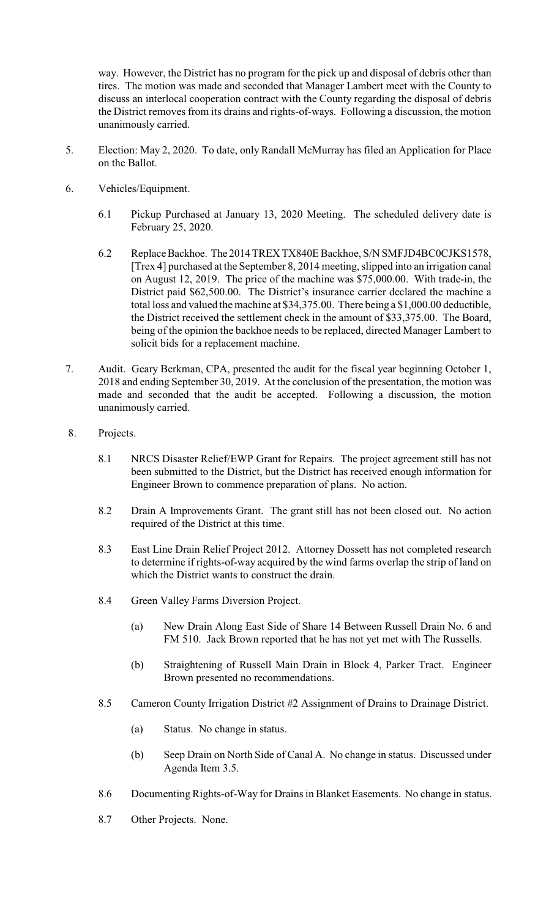way. However, the District has no program for the pick up and disposal of debris other than tires. The motion was made and seconded that Manager Lambert meet with the County to discuss an interlocal cooperation contract with the County regarding the disposal of debris the District removes from its drains and rights-of-ways. Following a discussion, the motion unanimously carried.

- 5. Election: May 2, 2020. To date, only Randall McMurray has filed an Application for Place on the Ballot.
- 6. Vehicles/Equipment.
	- 6.1 Pickup Purchased at January 13, 2020 Meeting. The scheduled delivery date is February 25, 2020.
	- 6.2 Replace Backhoe. The 2014 TREX TX840E Backhoe, S/N SMFJD4BC0CJKS1578, [Trex 4] purchased at the September 8, 2014 meeting, slipped into an irrigation canal on August 12, 2019. The price of the machine was \$75,000.00. With trade-in, the District paid \$62,500.00. The District's insurance carrier declared the machine a total loss and valued the machine at \$34,375.00. There being a \$1,000.00 deductible, the District received the settlement check in the amount of \$33,375.00. The Board, being of the opinion the backhoe needs to be replaced, directed Manager Lambert to solicit bids for a replacement machine.
- 7. Audit. Geary Berkman, CPA, presented the audit for the fiscal year beginning October 1, 2018 and ending September 30, 2019. At the conclusion of the presentation, the motion was made and seconded that the audit be accepted. Following a discussion, the motion unanimously carried.
- 8. Projects.
	- 8.1 NRCS Disaster Relief/EWP Grant for Repairs. The project agreement still has not been submitted to the District, but the District has received enough information for Engineer Brown to commence preparation of plans. No action.
	- 8.2 Drain A Improvements Grant. The grant still has not been closed out. No action required of the District at this time.
	- 8.3 East Line Drain Relief Project 2012. Attorney Dossett has not completed research to determine if rights-of-way acquired by the wind farms overlap the strip of land on which the District wants to construct the drain.
	- 8.4 Green Valley Farms Diversion Project.
		- (a) New Drain Along East Side of Share 14 Between Russell Drain No. 6 and FM 510. Jack Brown reported that he has not yet met with The Russells.
		- (b) Straightening of Russell Main Drain in Block 4, Parker Tract. Engineer Brown presented no recommendations.
	- 8.5 Cameron County Irrigation District #2 Assignment of Drains to Drainage District.
		- (a) Status. No change in status.
		- (b) Seep Drain on North Side of Canal A. No change in status. Discussed under Agenda Item 3.5.
	- 8.6 Documenting Rights-of-Way for Drains in Blanket Easements. No change in status.
	- 8.7 Other Projects. None.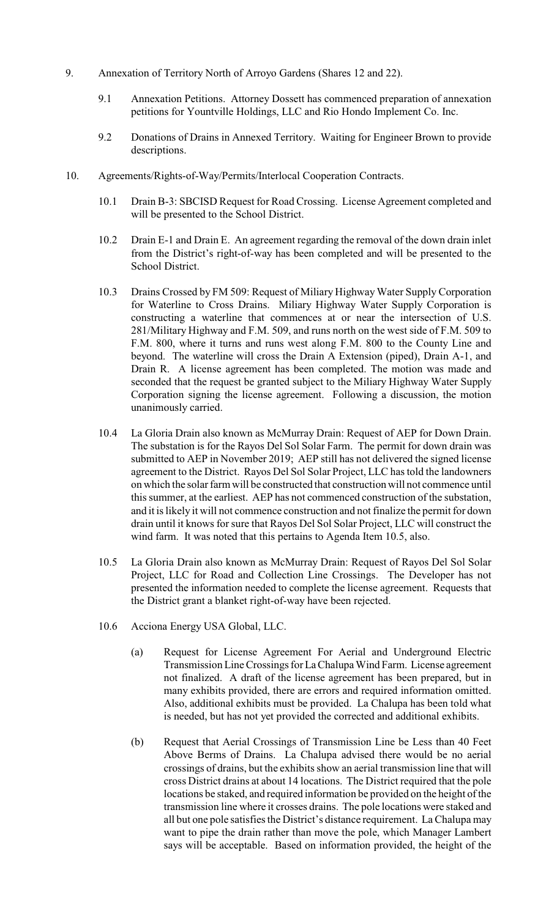- 9. Annexation of Territory North of Arroyo Gardens (Shares 12 and 22).
	- 9.1 Annexation Petitions. Attorney Dossett has commenced preparation of annexation petitions for Yountville Holdings, LLC and Rio Hondo Implement Co. Inc.
	- 9.2 Donations of Drains in Annexed Territory. Waiting for Engineer Brown to provide descriptions.
- 10. Agreements/Rights-of-Way/Permits/Interlocal Cooperation Contracts.
	- 10.1 Drain B-3: SBCISD Request for Road Crossing. License Agreement completed and will be presented to the School District.
	- 10.2 Drain E-1 and Drain E. An agreement regarding the removal of the down drain inlet from the District's right-of-way has been completed and will be presented to the School District.
	- 10.3 Drains Crossed by FM 509: Request of Miliary Highway Water Supply Corporation for Waterline to Cross Drains. Miliary Highway Water Supply Corporation is constructing a waterline that commences at or near the intersection of U.S. 281/Military Highway and F.M. 509, and runs north on the west side of F.M. 509 to F.M. 800, where it turns and runs west along F.M. 800 to the County Line and beyond. The waterline will cross the Drain A Extension (piped), Drain A-1, and Drain R. A license agreement has been completed. The motion was made and seconded that the request be granted subject to the Miliary Highway Water Supply Corporation signing the license agreement. Following a discussion, the motion unanimously carried.
	- 10.4 La Gloria Drain also known as McMurray Drain: Request of AEP for Down Drain. The substation is for the Rayos Del Sol Solar Farm. The permit for down drain was submitted to AEP in November 2019; AEP still has not delivered the signed license agreement to the District. Rayos Del Sol Solar Project, LLC has told the landowners on which the solar farmwill be constructed that construction will not commence until this summer, at the earliest. AEP has not commenced construction of the substation, and it is likely it will not commence construction and not finalize the permit for down drain until it knows for sure that Rayos Del Sol Solar Project, LLC will construct the wind farm. It was noted that this pertains to Agenda Item 10.5, also.
	- 10.5 La Gloria Drain also known as McMurray Drain: Request of Rayos Del Sol Solar Project, LLC for Road and Collection Line Crossings. The Developer has not presented the information needed to complete the license agreement. Requests that the District grant a blanket right-of-way have been rejected.
	- 10.6 Acciona Energy USA Global, LLC.
		- (a) Request for License Agreement For Aerial and Underground Electric Transmission Line Crossings for La Chalupa Wind Farm. License agreement not finalized. A draft of the license agreement has been prepared, but in many exhibits provided, there are errors and required information omitted. Also, additional exhibits must be provided. La Chalupa has been told what is needed, but has not yet provided the corrected and additional exhibits.
		- (b) Request that Aerial Crossings of Transmission Line be Less than 40 Feet Above Berms of Drains. La Chalupa advised there would be no aerial crossings of drains, but the exhibits show an aerial transmission line that will cross District drains at about 14 locations. The District required that the pole locations be staked, and required information be provided on the height of the transmission line where it crosses drains. The pole locations were staked and all but one pole satisfies the District's distance requirement. La Chalupa may want to pipe the drain rather than move the pole, which Manager Lambert says will be acceptable. Based on information provided, the height of the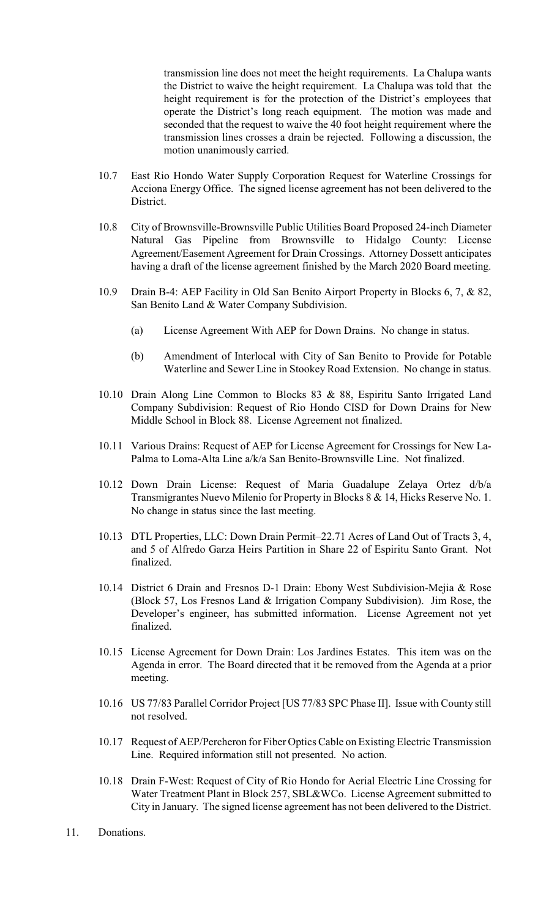transmission line does not meet the height requirements. La Chalupa wants the District to waive the height requirement. La Chalupa was told that the height requirement is for the protection of the District's employees that operate the District's long reach equipment. The motion was made and seconded that the request to waive the 40 foot height requirement where the transmission lines crosses a drain be rejected. Following a discussion, the motion unanimously carried.

- 10.7 East Rio Hondo Water Supply Corporation Request for Waterline Crossings for Acciona Energy Office. The signed license agreement has not been delivered to the District.
- 10.8 City of Brownsville-Brownsville Public Utilities Board Proposed 24-inch Diameter Natural Gas Pipeline from Brownsville to Hidalgo County: License Agreement/Easement Agreement for Drain Crossings. Attorney Dossett anticipates having a draft of the license agreement finished by the March 2020 Board meeting.
- 10.9 Drain B-4: AEP Facility in Old San Benito Airport Property in Blocks 6, 7, & 82, San Benito Land & Water Company Subdivision.
	- (a) License Agreement With AEP for Down Drains. No change in status.
	- (b) Amendment of Interlocal with City of San Benito to Provide for Potable Waterline and Sewer Line in Stookey Road Extension. No change in status.
- 10.10 Drain Along Line Common to Blocks 83 & 88, Espiritu Santo Irrigated Land Company Subdivision: Request of Rio Hondo CISD for Down Drains for New Middle School in Block 88. License Agreement not finalized.
- 10.11 Various Drains: Request of AEP for License Agreement for Crossings for New La-Palma to Loma-Alta Line a/k/a San Benito-Brownsville Line. Not finalized.
- 10.12 Down Drain License: Request of Maria Guadalupe Zelaya Ortez d/b/a Transmigrantes Nuevo Milenio for Property in Blocks 8 & 14, Hicks Reserve No. 1. No change in status since the last meeting.
- 10.13 DTL Properties, LLC: Down Drain Permit–22.71 Acres of Land Out of Tracts 3, 4, and 5 of Alfredo Garza Heirs Partition in Share 22 of Espiritu Santo Grant. Not finalized.
- 10.14 District 6 Drain and Fresnos D-1 Drain: Ebony West Subdivision-Mejia & Rose (Block 57, Los Fresnos Land & Irrigation Company Subdivision). Jim Rose, the Developer's engineer, has submitted information. License Agreement not yet finalized.
- 10.15 License Agreement for Down Drain: Los Jardines Estates. This item was on the Agenda in error. The Board directed that it be removed from the Agenda at a prior meeting.
- 10.16 US 77/83 Parallel Corridor Project [US 77/83 SPC Phase II]. Issue with County still not resolved.
- 10.17 Request of AEP/Percheron for Fiber Optics Cable on Existing Electric Transmission Line. Required information still not presented. No action.
- 10.18 Drain F-West: Request of City of Rio Hondo for Aerial Electric Line Crossing for Water Treatment Plant in Block 257, SBL&WCo. License Agreement submitted to City in January. The signed license agreement has not been delivered to the District.
- 11. Donations.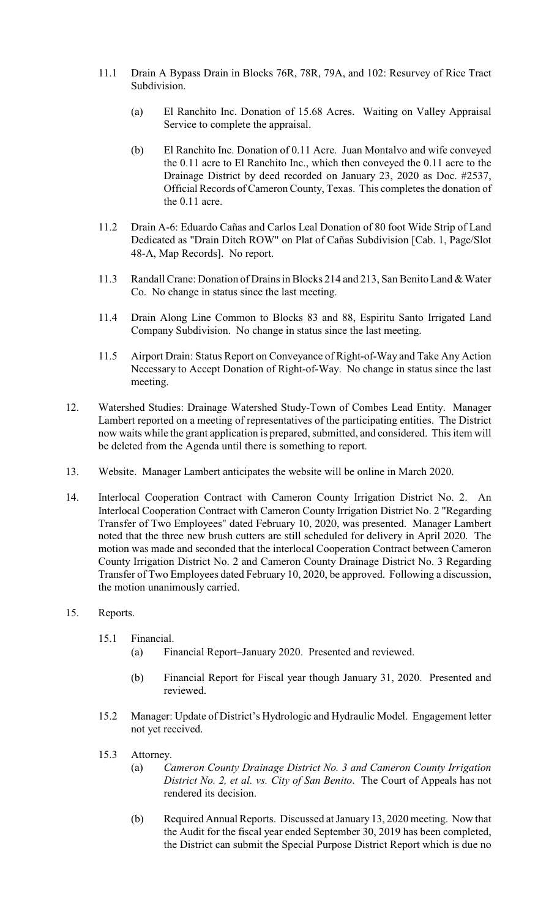- 11.1 Drain A Bypass Drain in Blocks 76R, 78R, 79A, and 102: Resurvey of Rice Tract Subdivision.
	- (a) El Ranchito Inc. Donation of 15.68 Acres. Waiting on Valley Appraisal Service to complete the appraisal.
	- (b) El Ranchito Inc. Donation of 0.11 Acre. Juan Montalvo and wife conveyed the 0.11 acre to El Ranchito Inc., which then conveyed the 0.11 acre to the Drainage District by deed recorded on January 23, 2020 as Doc. #2537, Official Records of Cameron County, Texas. This completes the donation of the 0.11 acre.
- 11.2 Drain A-6: Eduardo Cañas and Carlos Leal Donation of 80 foot Wide Strip of Land Dedicated as "Drain Ditch ROW" on Plat of Cañas Subdivision [Cab. 1, Page/Slot 48-A, Map Records]. No report.
- 11.3 Randall Crane: Donation of Drains in Blocks 214 and 213, San Benito Land & Water Co. No change in status since the last meeting.
- 11.4 Drain Along Line Common to Blocks 83 and 88, Espiritu Santo Irrigated Land Company Subdivision. No change in status since the last meeting.
- 11.5 Airport Drain: Status Report on Conveyance of Right-of-Way and Take Any Action Necessary to Accept Donation of Right-of-Way. No change in status since the last meeting.
- 12. Watershed Studies: Drainage Watershed Study-Town of Combes Lead Entity. Manager Lambert reported on a meeting of representatives of the participating entities. The District now waits while the grant application is prepared, submitted, and considered. This item will be deleted from the Agenda until there is something to report.
- 13. Website. Manager Lambert anticipates the website will be online in March 2020.
- 14. Interlocal Cooperation Contract with Cameron County Irrigation District No. 2. An Interlocal Cooperation Contract with Cameron County Irrigation District No. 2 "Regarding Transfer of Two Employees" dated February 10, 2020, was presented. Manager Lambert noted that the three new brush cutters are still scheduled for delivery in April 2020. The motion was made and seconded that the interlocal Cooperation Contract between Cameron County Irrigation District No. 2 and Cameron County Drainage District No. 3 Regarding Transfer of Two Employees dated February 10, 2020, be approved. Following a discussion, the motion unanimously carried.
- 15. Reports.
	- 15.1 Financial.
		- (a) Financial Report–January 2020. Presented and reviewed.
		- (b) Financial Report for Fiscal year though January 31, 2020. Presented and reviewed.
	- 15.2 Manager: Update of District's Hydrologic and Hydraulic Model. Engagement letter not yet received.
	- 15.3 Attorney.
		- (a) *Cameron County Drainage District No. 3 and Cameron County Irrigation District No. 2, et al. vs. City of San Benito*. The Court of Appeals has not rendered its decision.
		- (b) Required Annual Reports. Discussed at January 13, 2020 meeting. Now that the Audit for the fiscal year ended September 30, 2019 has been completed, the District can submit the Special Purpose District Report which is due no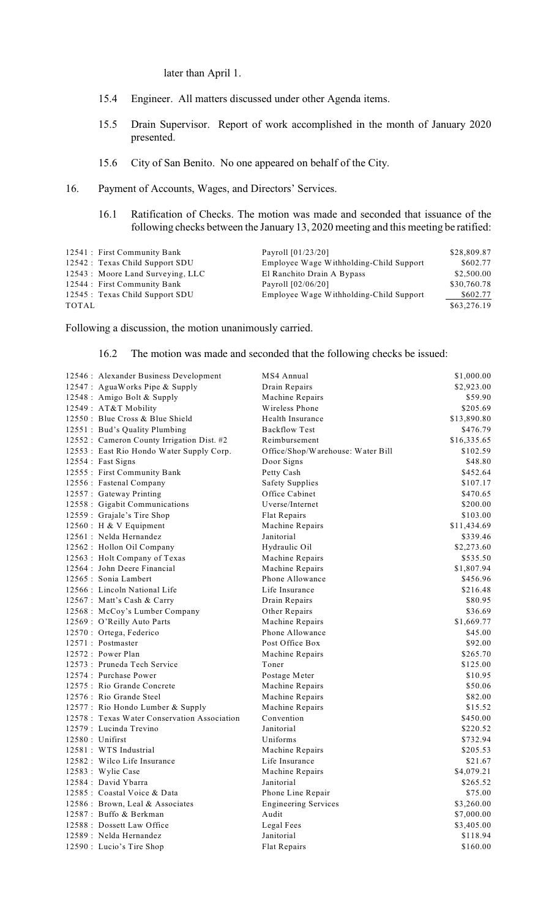## later than April 1.

- 15.4 Engineer. All matters discussed under other Agenda items.
- 15.5 Drain Supervisor. Report of work accomplished in the month of January 2020 presented.
- 15.6 City of San Benito. No one appeared on behalf of the City.
- 16. Payment of Accounts, Wages, and Directors' Services.
	- 16.1 Ratification of Checks. The motion was made and seconded that issuance of the following checks between the January 13, 2020 meeting and this meeting be ratified:

| 12541 : First Community Bank      | Payroll $[01/23/20]$                    | \$28,809.87 |
|-----------------------------------|-----------------------------------------|-------------|
| 12542 : Texas Child Support SDU   | Employee Wage Withholding-Child Support | \$602.77    |
| 12543 : Moore Land Surveying, LLC | El Ranchito Drain A Bypass              | \$2,500.00  |
| 12544 : First Community Bank      | Payroll $[02/06/20]$                    | \$30,760.78 |
| 12545 : Texas Child Support SDU   | Employee Wage Withholding-Child Support | \$602.77    |
| TOTAL                             |                                         | \$63,276.19 |

Following a discussion, the motion unanimously carried.

## 16.2 The motion was made and seconded that the following checks be issued:

| 12546 : Alexander Business Development       | MS4 Annual                        | \$1,000.00  |
|----------------------------------------------|-----------------------------------|-------------|
| 12547: AguaWorks Pipe & Supply               | Drain Repairs                     | \$2,923.00  |
| 12548 : Amigo Bolt & Supply                  | Machine Repairs                   | \$59.90     |
| 12549: AT&T Mobility                         | Wireless Phone                    | \$205.69    |
| 12550 : Blue Cross & Blue Shield             | Health Insurance                  | \$13,890.80 |
| 12551 : Bud's Quality Plumbing               | <b>Backflow Test</b>              | \$476.79    |
| 12552 : Cameron County Irrigation Dist. #2   | Reimbursement                     | \$16,335.65 |
| 12553 : East Rio Hondo Water Supply Corp.    | Office/Shop/Warehouse: Water Bill | \$102.59    |
| 12554 : Fast Signs                           | Door Signs                        | \$48.80     |
| 12555 : First Community Bank                 | Petty Cash                        | \$452.64    |
| 12556 : Fastenal Company                     | <b>Safety Supplies</b>            | \$107.17    |
| 12557: Gateway Printing                      | Office Cabinet                    | \$470.65    |
| 12558 : Gigabit Communications               | Uverse/Internet                   | \$200.00    |
| 12559 : Grajale's Tire Shop                  | Flat Repairs                      | \$103.00    |
| 12560 : H & V Equipment                      | Machine Repairs                   | \$11,434.69 |
| 12561 : Nelda Hernandez                      | Janitorial                        | \$339.46    |
| 12562 : Hollon Oil Company                   | Hydraulic Oil                     | \$2,273.60  |
| 12563: Holt Company of Texas                 | Machine Repairs                   | \$535.50    |
| 12564 : John Deere Financial                 | Machine Repairs                   | \$1,807.94  |
| 12565 : Sonia Lambert                        | Phone Allowance                   | \$456.96    |
| 12566 : Lincoln National Life                | Life Insurance                    | \$216.48    |
| 12567: Matt's Cash & Carry                   | Drain Repairs                     | \$80.95     |
| 12568 : McCoy's Lumber Company               | Other Repairs                     | \$36.69     |
| 12569 : O'Reilly Auto Parts                  | Machine Repairs                   | \$1,669.77  |
| 12570 : Ortega, Federico                     | Phone Allowance                   | \$45.00     |
| 12571 : Postmaster                           | Post Office Box                   | \$92.00     |
| 12572 : Power Plan                           | Machine Repairs                   | \$265.70    |
| 12573 : Pruneda Tech Service                 | Toner                             | \$125.00    |
| 12574 : Purchase Power                       | Postage Meter                     | \$10.95     |
| 12575 : Rio Grande Concrete                  | Machine Repairs                   | \$50.06     |
| 12576 : Rio Grande Steel                     | Machine Repairs                   | \$82.00     |
| 12577: Rio Hondo Lumber & Supply             | Machine Repairs                   | \$15.52     |
| 12578 : Texas Water Conservation Association | Convention                        | \$450.00    |
| 12579 : Lucinda Trevino                      | Janitorial                        | \$220.52    |
| 12580 : Unifirst                             | Uniforms                          | \$732.94    |
| 12581 : WTS Industrial                       | Machine Repairs                   | \$205.53    |
| 12582 : Wilco Life Insurance                 | Life Insurance                    | \$21.67     |
| 12583 : Wylie Case                           | Machine Repairs                   | \$4,079.21  |
| 12584 : David Ybarra                         | Janitorial                        | \$265.52    |
| 12585 : Coastal Voice & Data                 | Phone Line Repair                 | \$75.00     |
| 12586 : Brown, Leal & Associates             | <b>Engineering Services</b>       | \$3,260.00  |
| 12587 : Buffo & Berkman                      | Audit                             | \$7,000.00  |
| 12588 : Dossett Law Office                   | Legal Fees                        | \$3,405.00  |
| 12589 : Nelda Hernandez                      | Janitorial                        | \$118.94    |
| 12590 : Lucio's Tire Shop                    | Flat Repairs                      | \$160.00    |